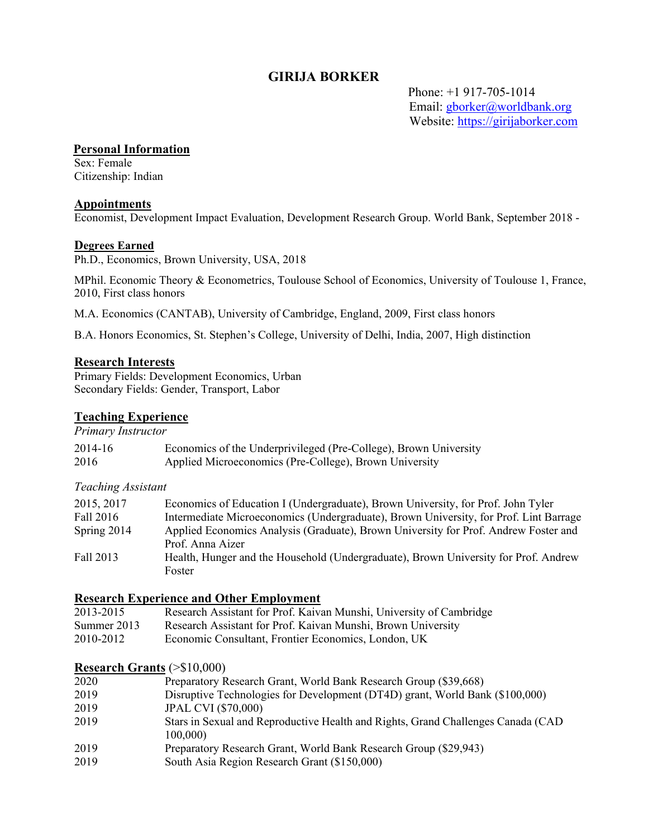# **GIRIJA BORKER**

 Phone: +1 917-705-1014 Email: [gborker@worldbank.org](mailto:gborker@worldbank.org)  Website: [https://girijaborker.com](https://girijaborker.com/)

### **Personal Information**

Sex: Female Citizenship: Indian

#### **Appointments**

Economist, Development Impact Evaluation, Development Research Group. World Bank, September 2018 -

### **Degrees Earned**

Ph.D., Economics, Brown University, USA, 2018

MPhil. Economic Theory & Econometrics, Toulouse School of Economics, University of Toulouse 1, France, 2010, First class honors

M.A. Economics (CANTAB), University of Cambridge, England, 2009, First class honors

B.A. Honors Economics, St. Stephen's College, University of Delhi, India, 2007, High distinction

### **Research Interests**

Primary Fields: Development Economics, Urban Secondary Fields: Gender, Transport, Labor

### **Teaching Experience**

*Primary Instructor*

| 2014-16 | Economics of the Underprivileged (Pre-College), Brown University |
|---------|------------------------------------------------------------------|
| 2016    | Applied Microeconomics (Pre-College), Brown University           |

#### *Teaching Assistant*

| 2015, 2017  | Economics of Education I (Undergraduate), Brown University, for Prof. John Tyler      |
|-------------|---------------------------------------------------------------------------------------|
| Fall 2016   | Intermediate Microeconomics (Undergraduate), Brown University, for Prof. Lint Barrage |
| Spring 2014 | Applied Economics Analysis (Graduate), Brown University for Prof. Andrew Foster and   |
|             | Prof. Anna Aizer                                                                      |
| Fall 2013   | Health, Hunger and the Household (Undergraduate), Brown University for Prof. Andrew   |
|             | Foster                                                                                |

#### **Research Experience and Other Employment**

| 2013-2015   | Research Assistant for Prof. Kaivan Munshi, University of Cambridge |
|-------------|---------------------------------------------------------------------|
| Summer 2013 | Research Assistant for Prof. Kaivan Munshi, Brown University        |
| 2010-2012   | Economic Consultant, Frontier Economics, London, UK                 |

#### **Research Grants** (>\$10,000)

| 2020 | Preparatory Research Grant, World Bank Research Group (\$39,668)                             |
|------|----------------------------------------------------------------------------------------------|
| 2019 | Disruptive Technologies for Development (DT4D) grant, World Bank (\$100,000)                 |
| 2019 | <b>JPAL CVI (\$70,000)</b>                                                                   |
| 2019 | Stars in Sexual and Reproductive Health and Rights, Grand Challenges Canada (CAD)<br>100,000 |
| 2019 | Preparatory Research Grant, World Bank Research Group (\$29,943)                             |
| 2019 | South Asia Region Research Grant (\$150,000)                                                 |